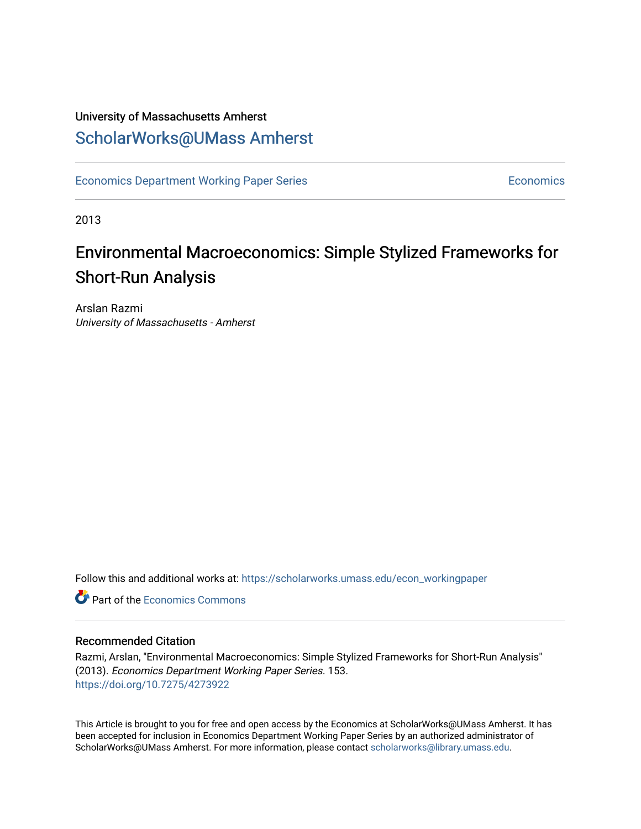### University of Massachusetts Amherst [ScholarWorks@UMass Amherst](https://scholarworks.umass.edu/)

[Economics Department Working Paper Series](https://scholarworks.umass.edu/econ_workingpaper) **Economics** Economics

2013

## Environmental Macroeconomics: Simple Stylized Frameworks for Short-Run Analysis

Arslan Razmi University of Massachusetts - Amherst

Follow this and additional works at: [https://scholarworks.umass.edu/econ\\_workingpaper](https://scholarworks.umass.edu/econ_workingpaper?utm_source=scholarworks.umass.edu%2Fecon_workingpaper%2F153&utm_medium=PDF&utm_campaign=PDFCoverPages) 

**C** Part of the [Economics Commons](http://network.bepress.com/hgg/discipline/340?utm_source=scholarworks.umass.edu%2Fecon_workingpaper%2F153&utm_medium=PDF&utm_campaign=PDFCoverPages)

#### Recommended Citation

Razmi, Arslan, "Environmental Macroeconomics: Simple Stylized Frameworks for Short-Run Analysis" (2013). Economics Department Working Paper Series. 153. <https://doi.org/10.7275/4273922>

This Article is brought to you for free and open access by the Economics at ScholarWorks@UMass Amherst. It has been accepted for inclusion in Economics Department Working Paper Series by an authorized administrator of ScholarWorks@UMass Amherst. For more information, please contact [scholarworks@library.umass.edu.](mailto:scholarworks@library.umass.edu)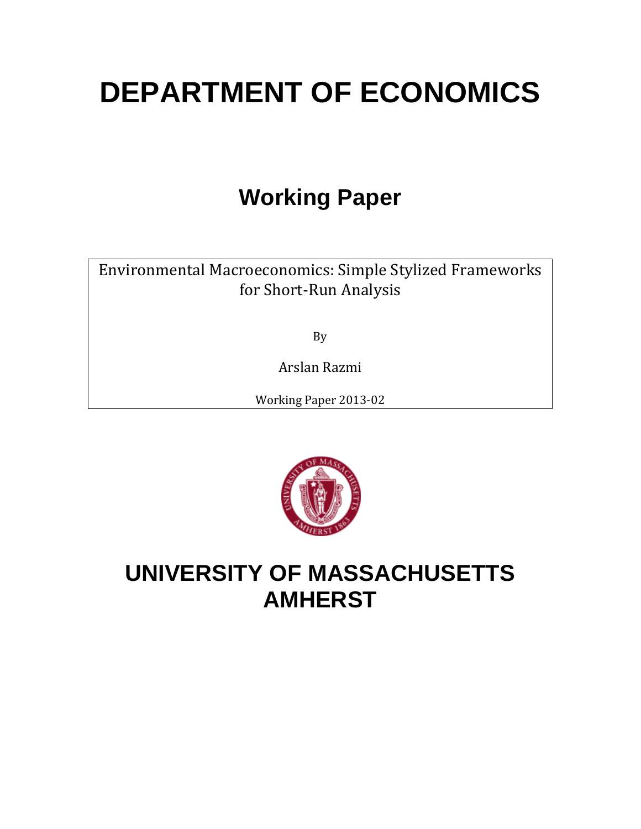# **DEPARTMENT OF ECONOMICS**

## **Working Paper**

Environmental Macroeconomics: Simple Stylized Frameworks for Short-Run Analysis

By

Arslan Razmi

Working Paper 2013-02



## **UNIVERSITY OF MASSACHUSETTS AMHERST**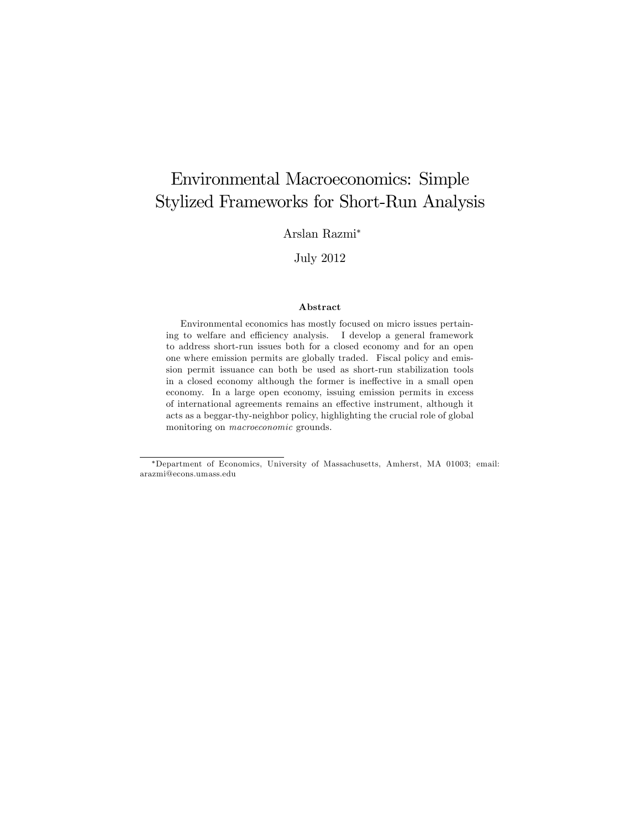## Environmental Macroeconomics: Simple Stylized Frameworks for Short-Run Analysis

#### Arslan Razmi

#### July 2012

#### Abstract

Environmental economics has mostly focused on micro issues pertaining to welfare and efficiency analysis. I develop a general framework to address short-run issues both for a closed economy and for an open one where emission permits are globally traded. Fiscal policy and emission permit issuance can both be used as short-run stabilization tools in a closed economy although the former is ineffective in a small open economy. In a large open economy, issuing emission permits in excess of international agreements remains an effective instrument, although it acts as a beggar-thy-neighbor policy, highlighting the crucial role of global monitoring on macroeconomic grounds.

Department of Economics, University of Massachusetts, Amherst, MA 01003; email: arazmi@econs.umass.edu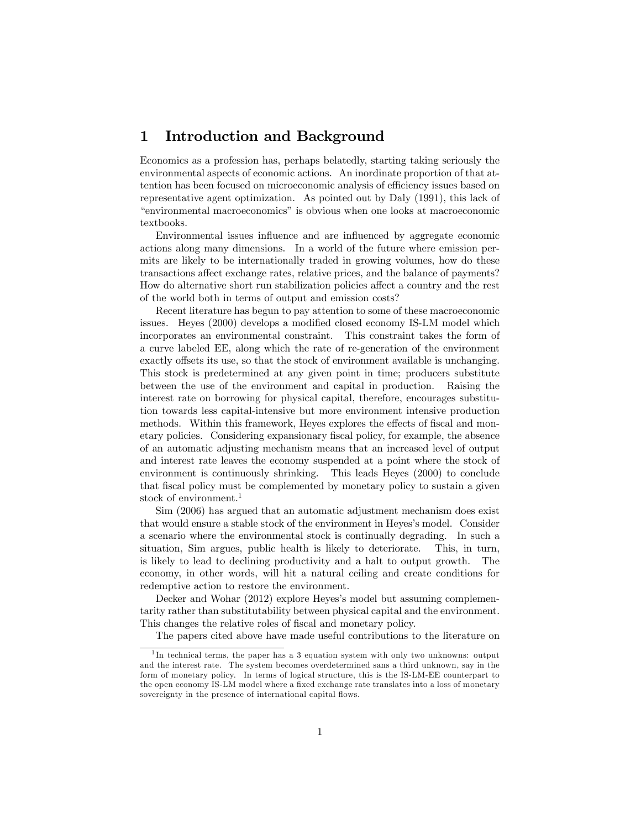#### 1 Introduction and Background

Economics as a profession has, perhaps belatedly, starting taking seriously the environmental aspects of economic actions. An inordinate proportion of that attention has been focused on microeconomic analysis of efficiency issues based on representative agent optimization. As pointed out by Daly (1991), this lack of ìenvironmental macroeconomicsîis obvious when one looks at macroeconomic textbooks.

Environmental issues influence and are influenced by aggregate economic actions along many dimensions. In a world of the future where emission permits are likely to be internationally traded in growing volumes, how do these transactions affect exchange rates, relative prices, and the balance of payments? How do alternative short run stabilization policies affect a country and the rest of the world both in terms of output and emission costs?

Recent literature has begun to pay attention to some of these macroeconomic issues. Heyes (2000) develops a modified closed economy IS-LM model which incorporates an environmental constraint. This constraint takes the form of a curve labeled EE, along which the rate of re-generation of the environment exactly offsets its use, so that the stock of environment available is unchanging. This stock is predetermined at any given point in time; producers substitute between the use of the environment and capital in production. Raising the interest rate on borrowing for physical capital, therefore, encourages substitution towards less capital-intensive but more environment intensive production methods. Within this framework, Heyes explores the effects of fiscal and monetary policies. Considering expansionary Öscal policy, for example, the absence of an automatic adjusting mechanism means that an increased level of output and interest rate leaves the economy suspended at a point where the stock of environment is continuously shrinking. This leads Heyes (2000) to conclude that Öscal policy must be complemented by monetary policy to sustain a given stock of environment.<sup>1</sup>

Sim (2006) has argued that an automatic adjustment mechanism does exist that would ensure a stable stock of the environment in Heyes's model. Consider a scenario where the environmental stock is continually degrading. In such a situation, Sim argues, public health is likely to deteriorate. This, in turn, is likely to lead to declining productivity and a halt to output growth. The economy, in other words, will hit a natural ceiling and create conditions for redemptive action to restore the environment.

Decker and Wohar (2012) explore Heyes's model but assuming complementarity rather than substitutability between physical capital and the environment. This changes the relative roles of fiscal and monetary policy.

The papers cited above have made useful contributions to the literature on

<sup>&</sup>lt;sup>1</sup>In technical terms, the paper has a 3 equation system with only two unknowns: output and the interest rate. The system becomes overdetermined sans a third unknown, say in the form of monetary policy. In terms of logical structure, this is the IS-LM-EE counterpart to the open economy IS-LM model where a fixed exchange rate translates into a loss of monetary sovereignty in the presence of international capital flows.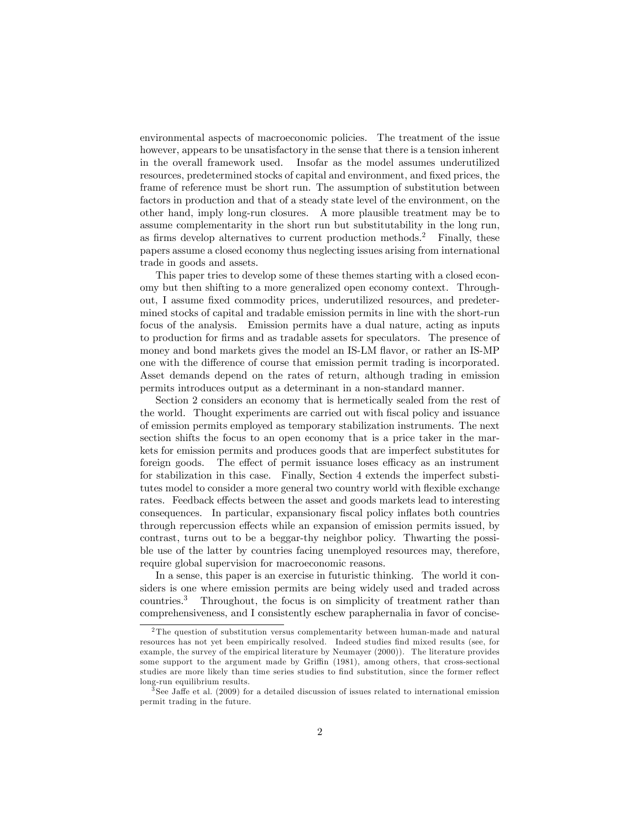environmental aspects of macroeconomic policies. The treatment of the issue however, appears to be unsatisfactory in the sense that there is a tension inherent in the overall framework used. Insofar as the model assumes underutilized resources, predetermined stocks of capital and environment, and fixed prices, the frame of reference must be short run. The assumption of substitution between factors in production and that of a steady state level of the environment, on the other hand, imply long-run closures. A more plausible treatment may be to assume complementarity in the short run but substitutability in the long run, as firms develop alternatives to current production methods.<sup>2</sup> Finally, these papers assume a closed economy thus neglecting issues arising from international trade in goods and assets.

This paper tries to develop some of these themes starting with a closed economy but then shifting to a more generalized open economy context. Throughout, I assume Öxed commodity prices, underutilized resources, and predetermined stocks of capital and tradable emission permits in line with the short-run focus of the analysis. Emission permits have a dual nature, acting as inputs to production for firms and as tradable assets for speculators. The presence of money and bond markets gives the model an IS-LM flavor, or rather an IS-MP one with the difference of course that emission permit trading is incorporated. Asset demands depend on the rates of return, although trading in emission permits introduces output as a determinant in a non-standard manner.

Section 2 considers an economy that is hermetically sealed from the rest of the world. Thought experiments are carried out with fiscal policy and issuance of emission permits employed as temporary stabilization instruments. The next section shifts the focus to an open economy that is a price taker in the markets for emission permits and produces goods that are imperfect substitutes for foreign goods. The effect of permit issuance loses efficacy as an instrument for stabilization in this case. Finally, Section 4 extends the imperfect substitutes model to consider a more general two country world with flexible exchange rates. Feedback effects between the asset and goods markets lead to interesting consequences. In particular, expansionary fiscal policy inflates both countries through repercussion effects while an expansion of emission permits issued, by contrast, turns out to be a beggar-thy neighbor policy. Thwarting the possible use of the latter by countries facing unemployed resources may, therefore, require global supervision for macroeconomic reasons.

In a sense, this paper is an exercise in futuristic thinking. The world it considers is one where emission permits are being widely used and traded across countries.<sup>3</sup> Throughout, the focus is on simplicity of treatment rather than comprehensiveness, and I consistently eschew paraphernalia in favor of concise-

<sup>2</sup> The question of substitution versus complementarity between human-made and natural resources has not yet been empirically resolved. Indeed studies find mixed results (see, for example, the survey of the empirical literature by Neumayer (2000)). The literature provides some support to the argument made by Griffin (1981), among others, that cross-sectional studies are more likely than time series studies to find substitution, since the former reflect long-run equilibrium results.

<sup>&</sup>lt;sup>3</sup>See Jaffe et al. (2009) for a detailed discussion of issues related to international emission permit trading in the future.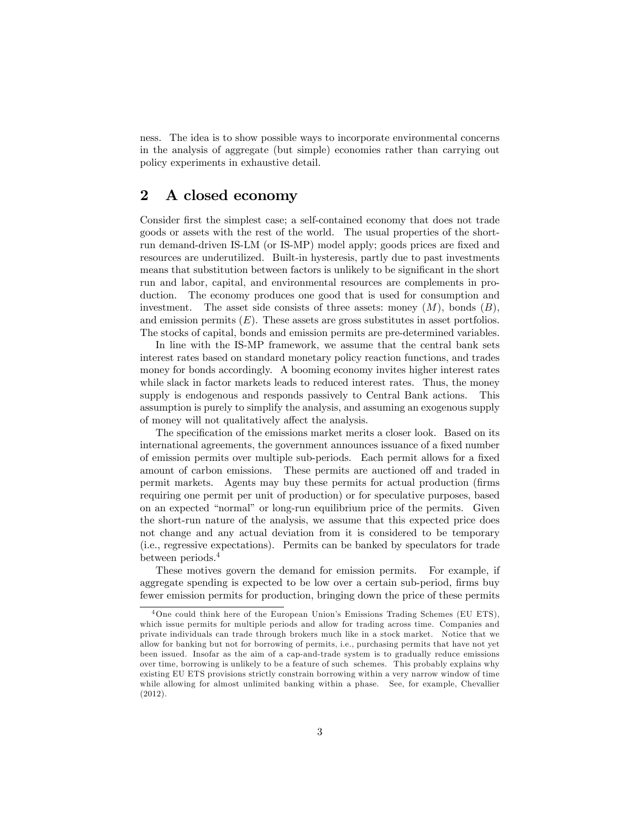ness. The idea is to show possible ways to incorporate environmental concerns in the analysis of aggregate (but simple) economies rather than carrying out policy experiments in exhaustive detail.

#### 2 A closed economy

Consider first the simplest case; a self-contained economy that does not trade goods or assets with the rest of the world. The usual properties of the shortrun demand-driven IS-LM (or IS-MP) model apply; goods prices are fixed and resources are underutilized. Built-in hysteresis, partly due to past investments means that substitution between factors is unlikely to be significant in the short run and labor, capital, and environmental resources are complements in production. The economy produces one good that is used for consumption and investment. The asset side consists of three assets: money  $(M)$ , bonds  $(B)$ , and emission permits  $(E)$ . These assets are gross substitutes in asset portfolios. The stocks of capital, bonds and emission permits are pre-determined variables.

In line with the IS-MP framework, we assume that the central bank sets interest rates based on standard monetary policy reaction functions, and trades money for bonds accordingly. A booming economy invites higher interest rates while slack in factor markets leads to reduced interest rates. Thus, the money supply is endogenous and responds passively to Central Bank actions. This assumption is purely to simplify the analysis, and assuming an exogenous supply of money will not qualitatively affect the analysis.

The specification of the emissions market merits a closer look. Based on its international agreements, the government announces issuance of a fixed number of emission permits over multiple sub-periods. Each permit allows for a fixed amount of carbon emissions. These permits are auctioned off and traded in permit markets. Agents may buy these permits for actual production (Örms requiring one permit per unit of production) or for speculative purposes, based on an expected "normal" or long-run equilibrium price of the permits. Given the short-run nature of the analysis, we assume that this expected price does not change and any actual deviation from it is considered to be temporary (i.e., regressive expectations). Permits can be banked by speculators for trade between periods.<sup>4</sup>

These motives govern the demand for emission permits. For example, if aggregate spending is expected to be low over a certain sub-period, firms buy fewer emission permits for production, bringing down the price of these permits

<sup>&</sup>lt;sup>4</sup>One could think here of the European Union's Emissions Trading Schemes (EU ETS), which issue permits for multiple periods and allow for trading across time. Companies and private individuals can trade through brokers much like in a stock market. Notice that we allow for banking but not for borrowing of permits, i.e., purchasing permits that have not yet been issued. Insofar as the aim of a cap-and-trade system is to gradually reduce emissions over time, borrowing is unlikely to be a feature of such schemes. This probably explains why existing EU ETS provisions strictly constrain borrowing within a very narrow window of time while allowing for almost unlimited banking within a phase. See, for example, Chevallier (2012).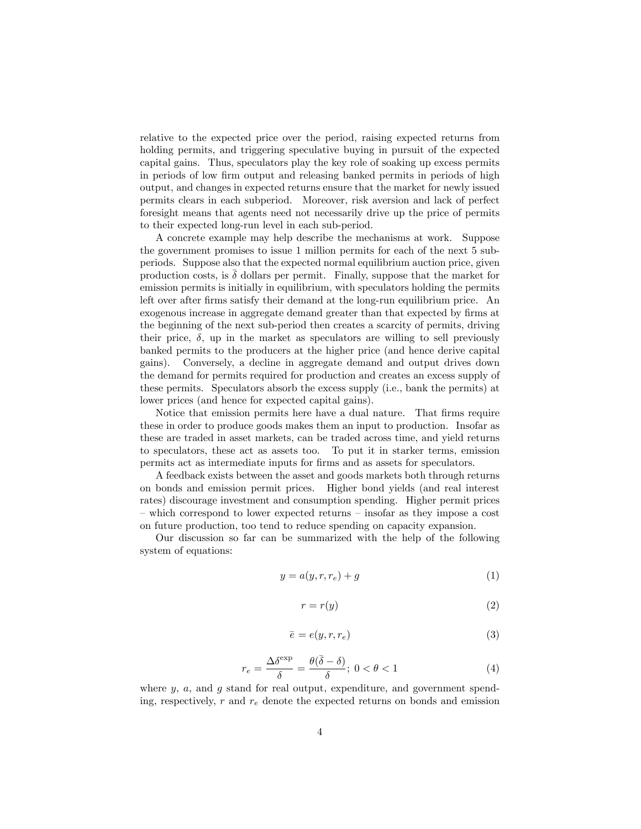relative to the expected price over the period, raising expected returns from holding permits, and triggering speculative buying in pursuit of the expected capital gains. Thus, speculators play the key role of soaking up excess permits in periods of low firm output and releasing banked permits in periods of high output, and changes in expected returns ensure that the market for newly issued permits clears in each subperiod. Moreover, risk aversion and lack of perfect foresight means that agents need not necessarily drive up the price of permits to their expected long-run level in each sub-period.

A concrete example may help describe the mechanisms at work. Suppose the government promises to issue 1 million permits for each of the next 5 subperiods. Suppose also that the expected normal equilibrium auction price, given production costs, is  $\delta$  dollars per permit. Finally, suppose that the market for emission permits is initially in equilibrium, with speculators holding the permits left over after firms satisfy their demand at the long-run equilibrium price. An exogenous increase in aggregate demand greater than that expected by firms at the beginning of the next sub-period then creates a scarcity of permits, driving their price,  $\delta$ , up in the market as speculators are willing to sell previously banked permits to the producers at the higher price (and hence derive capital gains). Conversely, a decline in aggregate demand and output drives down the demand for permits required for production and creates an excess supply of these permits. Speculators absorb the excess supply (i.e., bank the permits) at lower prices (and hence for expected capital gains).

Notice that emission permits here have a dual nature. That firms require these in order to produce goods makes them an input to production. Insofar as these are traded in asset markets, can be traded across time, and yield returns to speculators, these act as assets too. To put it in starker terms, emission permits act as intermediate inputs for Örms and as assets for speculators.

A feedback exists between the asset and goods markets both through returns on bonds and emission permit prices. Higher bond yields (and real interest rates) discourage investment and consumption spending. Higher permit prices – which correspond to lower expected returns – insofar as they impose a cost on future production, too tend to reduce spending on capacity expansion.

Our discussion so far can be summarized with the help of the following system of equations:

$$
y = a(y, r, r_e) + g \tag{1}
$$

$$
r = r(y) \tag{2}
$$

$$
\overline{e} = e(y, r, r_e) \tag{3}
$$

$$
r_e = \frac{\Delta \delta^{\text{exp}}}{\delta} = \frac{\theta(\bar{\delta} - \delta)}{\delta}; \ 0 < \theta < 1 \tag{4}
$$

where  $y$ ,  $a$ , and  $q$  stand for real output, expenditure, and government spending, respectively,  $r$  and  $r_e$  denote the expected returns on bonds and emission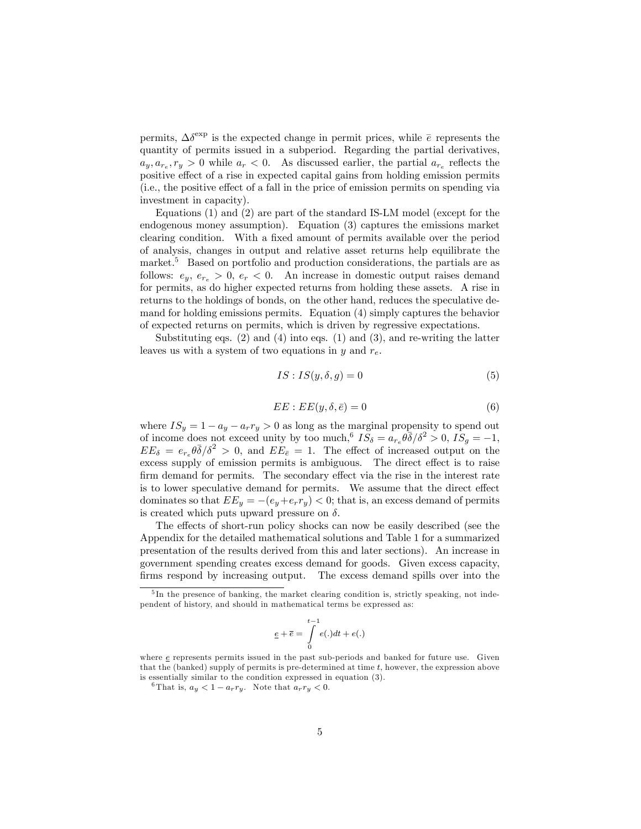permits,  $\Delta \delta^{\text{exp}}$  is the expected change in permit prices, while  $\bar{e}$  represents the quantity of permits issued in a subperiod. Regarding the partial derivatives,  $a_y, a_{r_e}, r_y > 0$  while  $a_r < 0$ . As discussed earlier, the partial  $a_{r_e}$  reflects the positive effect of a rise in expected capital gains from holding emission permits  $(i.e., the positive effect of a fall in the price of emission permits on spending via$ investment in capacity).

Equations (1) and (2) are part of the standard IS-LM model (except for the endogenous money assumption). Equation (3) captures the emissions market clearing condition. With a fixed amount of permits available over the period of analysis, changes in output and relative asset returns help equilibrate the market.<sup>5</sup> Based on portfolio and production considerations, the partials are as follows:  $e_y, e_{r_e} > 0, e_r < 0$ . An increase in domestic output raises demand for permits, as do higher expected returns from holding these assets. A rise in returns to the holdings of bonds, on the other hand, reduces the speculative demand for holding emissions permits. Equation (4) simply captures the behavior of expected returns on permits, which is driven by regressive expectations.

Substituting eqs.  $(2)$  and  $(4)$  into eqs.  $(1)$  and  $(3)$ , and re-writing the latter leaves us with a system of two equations in  $y$  and  $r_e$ .

$$
IS: IS(y, \delta, g) = 0 \tag{5}
$$

$$
EE: EE(y, \delta, \bar{e}) = 0 \tag{6}
$$

where  $IS_y = 1 - a_y - a_r r_y > 0$  as long as the marginal propensity to spend out of income does not exceed unity by too much,<sup>6</sup>  $IS_{\delta} = a_{r_e} \theta \overline{\delta}/\delta^2 > 0$ ,  $IS_g = -1$ ,  $EE_{\delta} = e_{r_e} \theta \bar{\delta}/\delta^2 > 0$ , and  $EE_{\bar{e}} = 1$ . The effect of increased output on the excess supply of emission permits is ambiguous. The direct effect is to raise firm demand for permits. The secondary effect via the rise in the interest rate is to lower speculative demand for permits. We assume that the direct effect dominates so that  $EE_y = -(e_y+e_r r_y) < 0$ ; that is, an excess demand of permits is created which puts upward pressure on  $\delta$ .

The effects of short-run policy shocks can now be easily described (see the Appendix for the detailed mathematical solutions and Table 1 for a summarized presentation of the results derived from this and later sections). An increase in government spending creates excess demand for goods. Given excess capacity, firms respond by increasing output. The excess demand spills over into the

$$
\underline{e} + \overline{e} = \int_{0}^{t-1} e(.)dt + e(.)
$$

<sup>&</sup>lt;sup>5</sup>In the presence of banking, the market clearing condition is, strictly speaking, not independent of history, and should in mathematical terms be expressed as:

where g represents permits issued in the past sub-periods and banked for future use. Given that the (banked) supply of permits is pre-determined at time t, however, the expression above is essentially similar to the condition expressed in equation (3).

<sup>&</sup>lt;sup>6</sup> That is,  $a_y < 1 - a_r r_y$ . Note that  $a_r r_y < 0$ .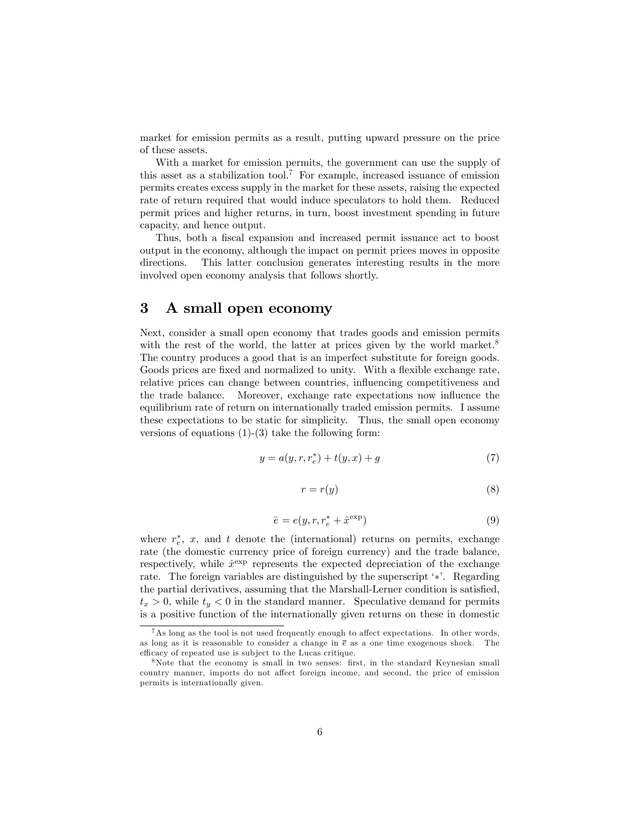market for emission permits as a result, putting upward pressure on the price of these assets.

With a market for emission permits, the government can use the supply of this asset as a stabilization tool.<sup>7</sup> For example, increased issuance of emission permits creates excess supply in the market for these assets, raising the expected rate of return required that would induce speculators to hold them. Reduced permit prices and higher returns, in turn, boost investment spending in future capacity, and hence output.

Thus, both a fiscal expansion and increased permit issuance act to boost output in the economy, although the impact on permit prices moves in opposite directions. This latter conclusion generates interesting results in the more involved open economy analysis that follows shortly.

#### 3 A small open economy

Next, consider a small open economy that trades goods and emission permits with the rest of the world, the latter at prices given by the world market.<sup>8</sup> The country produces a good that is an imperfect substitute for foreign goods. Goods prices are fixed and normalized to unity. With a flexible exchange rate, relative prices can change between countries, influencing competitiveness and the trade balance. Moreover, exchange rate expectations now ináuence the equilibrium rate of return on internationally traded emission permits. I assume these expectations to be static for simplicity. Thus, the small open economy versions of equations  $(1)-(3)$  take the following form:

$$
y = a(y, r, r_e^*) + t(y, x) + g \tag{7}
$$

$$
r = r(y) \tag{8}
$$

$$
\bar{e} = e(y, r, r_e^* + \hat{x}^{\exp})
$$
\n(9)

where  $r_e^*$ , x, and t denote the (international) returns on permits, exchange rate (the domestic currency price of foreign currency) and the trade balance, respectively, while  $\hat{x}^{\text{exp}}$  represents the expected depreciation of the exchange rate. The foreign variables are distinguished by the superscript  $*$ . Regarding the partial derivatives, assuming that the Marshall-Lerner condition is satisfied,  $t_x > 0$ , while  $t_y < 0$  in the standard manner. Speculative demand for permits is a positive function of the internationally given returns on these in domestic

 $^7$ As long as the tool is not used frequently enough to affect expectations. In other words, as long as it is reasonable to consider a change in  $\bar{e}$  as a one time exogenous shock. The efficacy of repeated use is subject to the Lucas critique.

<sup>&</sup>lt;sup>8</sup>Note that the economy is small in two senses: first, in the standard Keynesian small country manner, imports do not affect foreign income, and second, the price of emission permits is internationally given.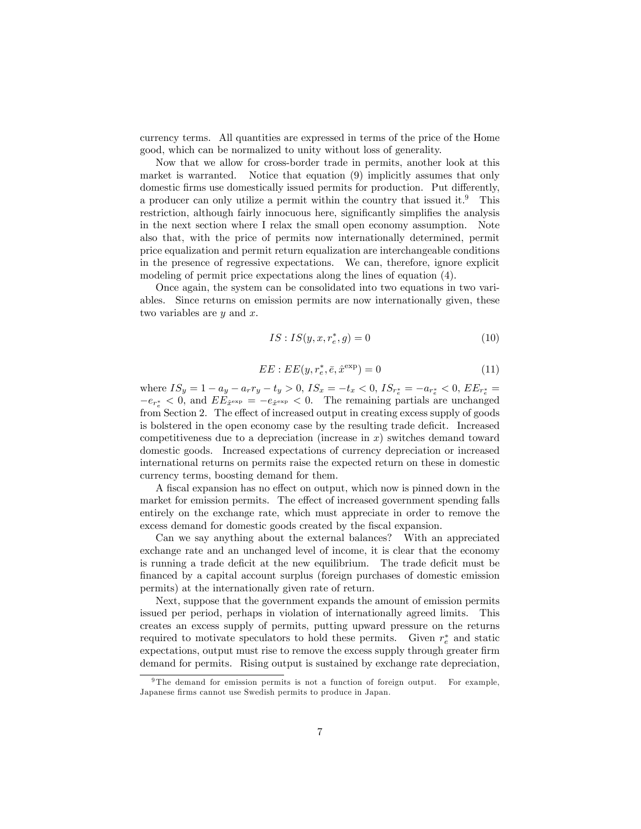currency terms. All quantities are expressed in terms of the price of the Home good, which can be normalized to unity without loss of generality.

Now that we allow for cross-border trade in permits, another look at this market is warranted. Notice that equation (9) implicitly assumes that only domestic firms use domestically issued permits for production. Put differently, a producer can only utilize a permit within the country that issued it.<sup>9</sup> This restriction, although fairly innocuous here, significantly simplifies the analysis in the next section where I relax the small open economy assumption. Note also that, with the price of permits now internationally determined, permit price equalization and permit return equalization are interchangeable conditions in the presence of regressive expectations. We can, therefore, ignore explicit modeling of permit price expectations along the lines of equation (4).

Once again, the system can be consolidated into two equations in two variables. Since returns on emission permits are now internationally given, these two variables are  $y$  and  $x$ .

$$
IS: IS(y, x, r_e^*, g) = 0
$$
\n(10)

$$
EE: EE(y, r_e^*, \bar{e}, \hat{x}^{\exp}) = 0 \tag{11}
$$

where  $IS_y = 1 - a_y - a_r r_y - t_y > 0$ ,  $IS_x = -t_x < 0$ ,  $IS_{r_e^*} = -a_{r_e^*} < 0$ ,  $EE_{r_e^*} =$  $-e_{r_e^*} < 0$ , and  $EE_{\hat{x}^{\text{exp}}} = -e_{\hat{x}^{\text{exp}}} < 0$ . The remaining partials are unchanged from Section 2. The effect of increased output in creating excess supply of goods is bolstered in the open economy case by the resulting trade deficit. Increased competitiveness due to a depreciation (increase in  $x$ ) switches demand toward domestic goods. Increased expectations of currency depreciation or increased international returns on permits raise the expected return on these in domestic currency terms, boosting demand for them.

A fiscal expansion has no effect on output, which now is pinned down in the market for emission permits. The effect of increased government spending falls entirely on the exchange rate, which must appreciate in order to remove the excess demand for domestic goods created by the fiscal expansion.

Can we say anything about the external balances? With an appreciated exchange rate and an unchanged level of income, it is clear that the economy is running a trade deficit at the new equilibrium. The trade deficit must be financed by a capital account surplus (foreign purchases of domestic emission permits) at the internationally given rate of return.

Next, suppose that the government expands the amount of emission permits issued per period, perhaps in violation of internationally agreed limits. This creates an excess supply of permits, putting upward pressure on the returns required to motivate speculators to hold these permits. Given  $r_e^*$  and static expectations, output must rise to remove the excess supply through greater firm demand for permits. Rising output is sustained by exchange rate depreciation,

<sup>&</sup>lt;sup>9</sup>The demand for emission permits is not a function of foreign output. For example, Japanese firms cannot use Swedish permits to produce in Japan.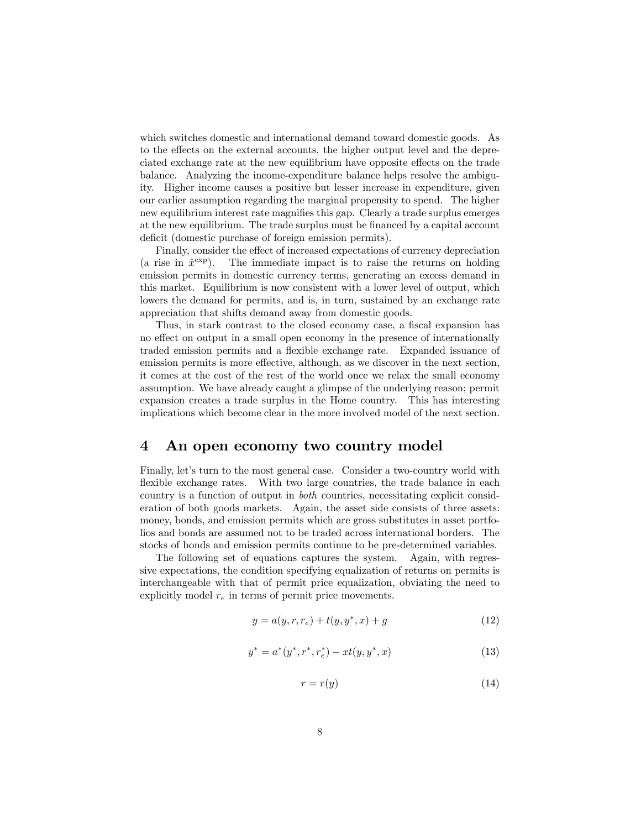which switches domestic and international demand toward domestic goods. As to the effects on the external accounts, the higher output level and the depreciated exchange rate at the new equilibrium have opposite effects on the trade balance. Analyzing the income-expenditure balance helps resolve the ambiguity. Higher income causes a positive but lesser increase in expenditure, given our earlier assumption regarding the marginal propensity to spend. The higher new equilibrium interest rate magnifies this gap. Clearly a trade surplus emerges at the new equilibrium. The trade surplus must be financed by a capital account deficit (domestic purchase of foreign emission permits).

Finally, consider the effect of increased expectations of currency depreciation (a rise in  $\hat{x}^{\text{exp}}$ ). The immediate impact is to raise the returns on holding emission permits in domestic currency terms, generating an excess demand in this market. Equilibrium is now consistent with a lower level of output, which lowers the demand for permits, and is, in turn, sustained by an exchange rate appreciation that shifts demand away from domestic goods.

Thus, in stark contrast to the closed economy case, a fiscal expansion has no effect on output in a small open economy in the presence of internationally traded emission permits and a flexible exchange rate. Expanded issuance of emission permits is more effective, although, as we discover in the next section, it comes at the cost of the rest of the world once we relax the small economy assumption. We have already caught a glimpse of the underlying reason; permit expansion creates a trade surplus in the Home country. This has interesting implications which become clear in the more involved model of the next section.

#### 4 An open economy two country model

Finally, let's turn to the most general case. Consider a two-country world with flexible exchange rates. With two large countries, the trade balance in each country is a function of output in both countries, necessitating explicit consideration of both goods markets. Again, the asset side consists of three assets: money, bonds, and emission permits which are gross substitutes in asset portfolios and bonds are assumed not to be traded across international borders. The stocks of bonds and emission permits continue to be pre-determined variables.

The following set of equations captures the system. Again, with regressive expectations, the condition specifying equalization of returns on permits is interchangeable with that of permit price equalization, obviating the need to explicitly model  $r_e$  in terms of permit price movements.

$$
y = a(y, r, r_e) + t(y, y^*, x) + g \tag{12}
$$

$$
y^* = a^*(y^*, r^*, r_e^*) - xt(y, y^*, x)
$$
\n(13)

$$
r = r(y) \tag{14}
$$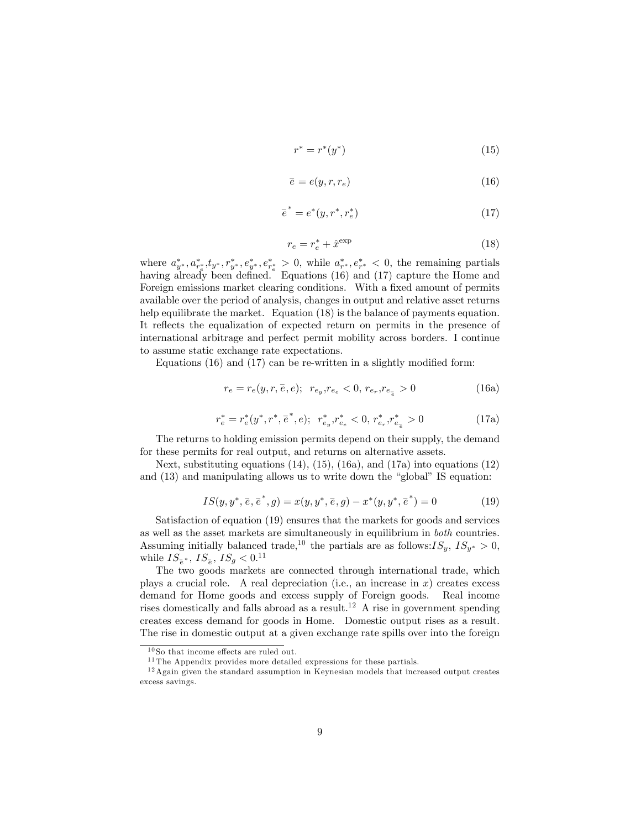$$
r^* = r^*(y^*)\tag{15}
$$

$$
\bar{e} = e(y, r, r_e) \tag{16}
$$

$$
\bar{e}^* = e^*(y, r^*, r_e^*)
$$
\n(17)

$$
r_e = r_e^* + \hat{x}^{\text{exp}} \tag{18}
$$

where  $a_{y^*}^*, a_{r_e^*}^*, t_{y^*}, r_{y^*}^*, e_{y^*}^*, e_{r_e^*}^* \geq 0$ , while  $a_{r^*}^*, e_{r^*}^* < 0$ , the remaining partials having already been defined. Equations (16) and (17) capture the Home and Foreign emissions market clearing conditions. With a fixed amount of permits available over the period of analysis, changes in output and relative asset returns help equilibrate the market. Equation (18) is the balance of payments equation. It reflects the equalization of expected return on permits in the presence of international arbitrage and perfect permit mobility across borders. I continue to assume static exchange rate expectations.

Equations  $(16)$  and  $(17)$  can be re-written in a slightly modified form:

$$
r_e = r_e(y, r, \bar{e}, e); \quad r_{e_y}, r_{e_e} < 0, \quad r_{e_r}, r_{e_{\bar{e}}} > 0 \tag{16a}
$$

$$
r_e^* = r_e^*(y^*, r^*, \bar{e}^*, e); \quad r_{e_y}^*, r_{e_e}^* < 0, \quad r_{e_r}^*, r_{e_{\bar{e}}}^* > 0 \tag{17a}
$$

The returns to holding emission permits depend on their supply, the demand for these permits for real output, and returns on alternative assets.

Next, substituting equations  $(14)$ ,  $(15)$ ,  $(16a)$ , and  $(17a)$  into equations  $(12)$ and  $(13)$  and manipulating allows us to write down the "global" IS equation:

$$
IS(y, y^*, \bar{e}, \bar{e}^*, g) = x(y, y^*, \bar{e}, g) - x^*(y, y^*, \bar{e}^*) = 0
$$
\n(19)

Satisfaction of equation (19) ensures that the markets for goods and services as well as the asset markets are simultaneously in equilibrium in both countries. Assuming initially balanced trade,<sup>10</sup> the partials are as follows: $IS_y$ ,  $IS_{y^*} > 0$ , while  $IS_{\bar{e}^*}$ ,  $IS_{\bar{e}}$ ,  $IS_g < 0.11$ 

The two goods markets are connected through international trade, which plays a crucial role. A real depreciation (i.e., an increase in  $x$ ) creates excess demand for Home goods and excess supply of Foreign goods. Real income rises domestically and falls abroad as a result.<sup>12</sup> A rise in government spending creates excess demand for goods in Home. Domestic output rises as a result. The rise in domestic output at a given exchange rate spills over into the foreign

 $10<sub>SO</sub>$  that income effects are ruled out.

 $^{11}\mathrm{The}$  Appendix provides more detailed expressions for these partials.

 $12$  Again given the standard assumption in Keynesian models that increased output creates excess savings.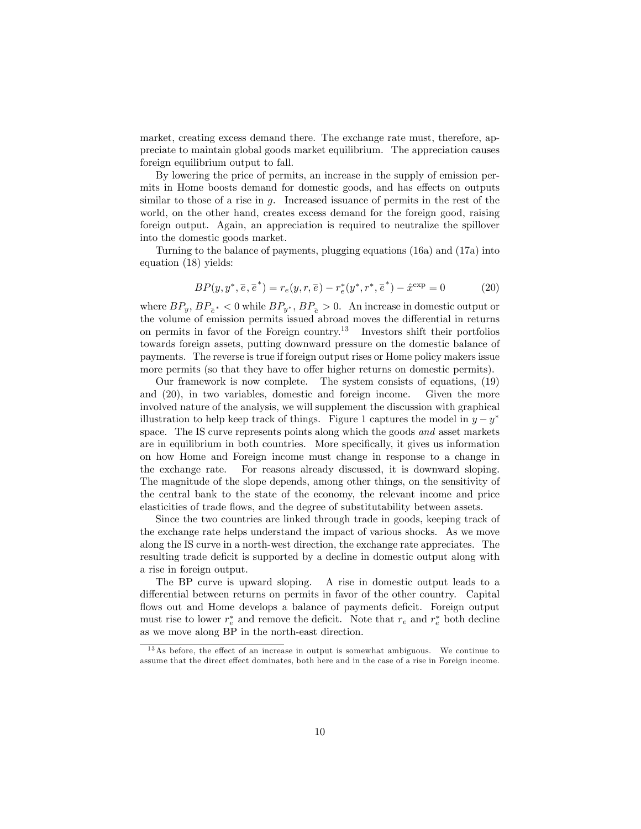market, creating excess demand there. The exchange rate must, therefore, appreciate to maintain global goods market equilibrium. The appreciation causes foreign equilibrium output to fall.

By lowering the price of permits, an increase in the supply of emission permits in Home boosts demand for domestic goods, and has effects on outputs similar to those of a rise in  $g$ . Increased issuance of permits in the rest of the world, on the other hand, creates excess demand for the foreign good, raising foreign output. Again, an appreciation is required to neutralize the spillover into the domestic goods market.

Turning to the balance of payments, plugging equations (16a) and (17a) into equation (18) yields:

$$
BP(y, y^*, \bar{e}, \bar{e}^*) = r_e(y, r, \bar{e}) - r_e^*(y^*, r^*, \bar{e}^*) - \hat{x}^{\exp} = 0
$$
 (20)

where  $BP_y$ ,  $BP_{\overline{e}}^* < 0$  while  $BP_{y^*}$ ,  $BP_{\overline{e}} > 0$ . An increase in domestic output or the volume of emission permits issued abroad moves the differential in returns on permits in favor of the Foreign country.<sup>13</sup> Investors shift their portfolios towards foreign assets, putting downward pressure on the domestic balance of payments. The reverse is true if foreign output rises or Home policy makers issue more permits (so that they have to offer higher returns on domestic permits).

Our framework is now complete. The system consists of equations, (19) and (20), in two variables, domestic and foreign income. Given the more involved nature of the analysis, we will supplement the discussion with graphical illustration to help keep track of things. Figure 1 captures the model in  $y - y^*$ space. The IS curve represents points along which the goods and asset markets are in equilibrium in both countries. More specifically, it gives us information on how Home and Foreign income must change in response to a change in the exchange rate. For reasons already discussed, it is downward sloping. The magnitude of the slope depends, among other things, on the sensitivity of the central bank to the state of the economy, the relevant income and price elasticities of trade flows, and the degree of substitutability between assets.

Since the two countries are linked through trade in goods, keeping track of the exchange rate helps understand the impact of various shocks. As we move along the IS curve in a north-west direction, the exchange rate appreciates. The resulting trade deficit is supported by a decline in domestic output along with a rise in foreign output.

The BP curve is upward sloping. A rise in domestic output leads to a differential between returns on permits in favor of the other country. Capital flows out and Home develops a balance of payments deficit. Foreign output must rise to lower  $r_e^*$  and remove the deficit. Note that  $r_e$  and  $r_e^*$  both decline as we move along BP in the north-east direction.

 $13$  As before, the effect of an increase in output is somewhat ambiguous. We continue to assume that the direct effect dominates, both here and in the case of a rise in Foreign income.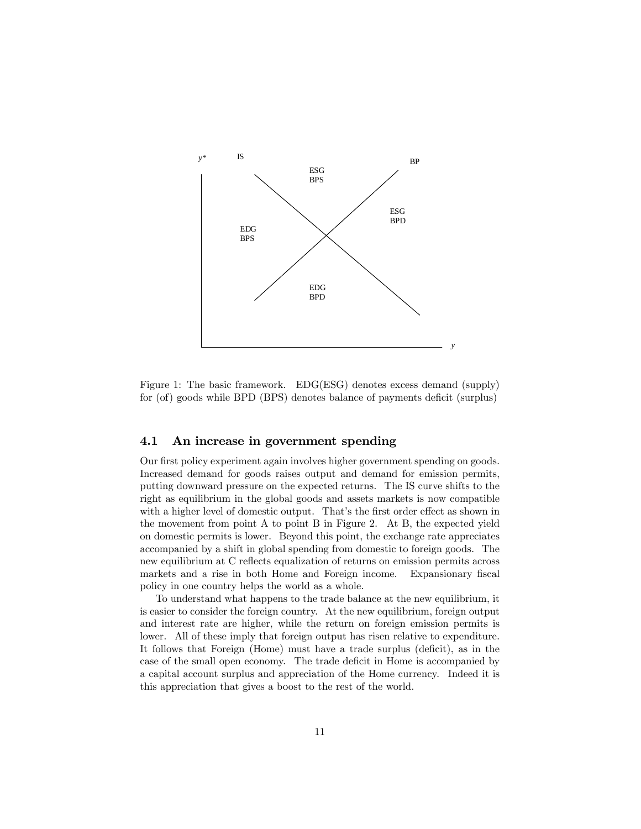

Figure 1: The basic framework. EDG(ESG) denotes excess demand (supply) for (of) goods while BPD (BPS) denotes balance of payments deficit (surplus)

#### 4.1 An increase in government spending

Our first policy experiment again involves higher government spending on goods. Increased demand for goods raises output and demand for emission permits, putting downward pressure on the expected returns. The IS curve shifts to the right as equilibrium in the global goods and assets markets is now compatible with a higher level of domestic output. That's the first order effect as shown in the movement from point A to point B in Figure 2. At B, the expected yield on domestic permits is lower. Beyond this point, the exchange rate appreciates accompanied by a shift in global spending from domestic to foreign goods. The new equilibrium at C reflects equalization of returns on emission permits across markets and a rise in both Home and Foreign income. Expansionary fiscal policy in one country helps the world as a whole.

To understand what happens to the trade balance at the new equilibrium, it is easier to consider the foreign country. At the new equilibrium, foreign output and interest rate are higher, while the return on foreign emission permits is lower. All of these imply that foreign output has risen relative to expenditure. It follows that Foreign (Home) must have a trade surplus (deficit), as in the case of the small open economy. The trade deficit in Home is accompanied by a capital account surplus and appreciation of the Home currency. Indeed it is this appreciation that gives a boost to the rest of the world.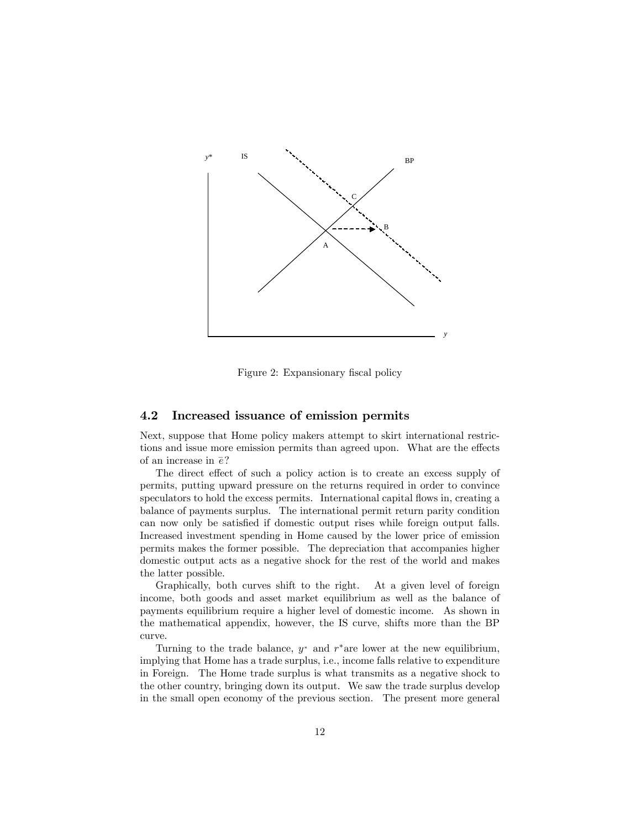

Figure 2: Expansionary fiscal policy

#### 4.2 Increased issuance of emission permits

Next, suppose that Home policy makers attempt to skirt international restrictions and issue more emission permits than agreed upon. What are the effects of an increase in  $\bar{e}$ ?

The direct effect of such a policy action is to create an excess supply of permits, putting upward pressure on the returns required in order to convince speculators to hold the excess permits. International capital flows in, creating a balance of payments surplus. The international permit return parity condition can now only be satisfied if domestic output rises while foreign output falls. Increased investment spending in Home caused by the lower price of emission permits makes the former possible. The depreciation that accompanies higher domestic output acts as a negative shock for the rest of the world and makes the latter possible.

Graphically, both curves shift to the right. At a given level of foreign income, both goods and asset market equilibrium as well as the balance of payments equilibrium require a higher level of domestic income. As shown in the mathematical appendix, however, the IS curve, shifts more than the BP curve.

Turning to the trade balance,  $y^*$  and  $r^*$  are lower at the new equilibrium, implying that Home has a trade surplus, i.e., income falls relative to expenditure in Foreign. The Home trade surplus is what transmits as a negative shock to the other country, bringing down its output. We saw the trade surplus develop in the small open economy of the previous section. The present more general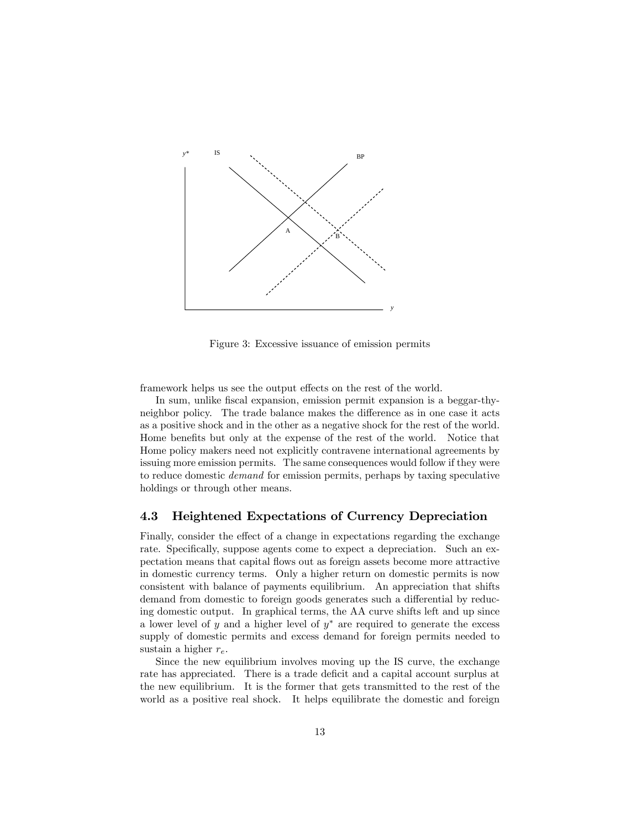

Figure 3: Excessive issuance of emission permits

framework helps us see the output effects on the rest of the world.

In sum, unlike fiscal expansion, emission permit expansion is a beggar-thyneighbor policy. The trade balance makes the difference as in one case it acts as a positive shock and in the other as a negative shock for the rest of the world. Home benefits but only at the expense of the rest of the world. Notice that Home policy makers need not explicitly contravene international agreements by issuing more emission permits. The same consequences would follow if they were to reduce domestic demand for emission permits, perhaps by taxing speculative holdings or through other means.

#### 4.3 Heightened Expectations of Currency Depreciation

Finally, consider the effect of a change in expectations regarding the exchange rate. Specifically, suppose agents come to expect a depreciation. Such an expectation means that capital áows out as foreign assets become more attractive in domestic currency terms. Only a higher return on domestic permits is now consistent with balance of payments equilibrium. An appreciation that shifts demand from domestic to foreign goods generates such a differential by reducing domestic output. In graphical terms, the AA curve shifts left and up since a lower level of  $y$  and a higher level of  $y^*$  are required to generate the excess supply of domestic permits and excess demand for foreign permits needed to sustain a higher  $r_e$ .

Since the new equilibrium involves moving up the IS curve, the exchange rate has appreciated. There is a trade deficit and a capital account surplus at the new equilibrium. It is the former that gets transmitted to the rest of the world as a positive real shock. It helps equilibrate the domestic and foreign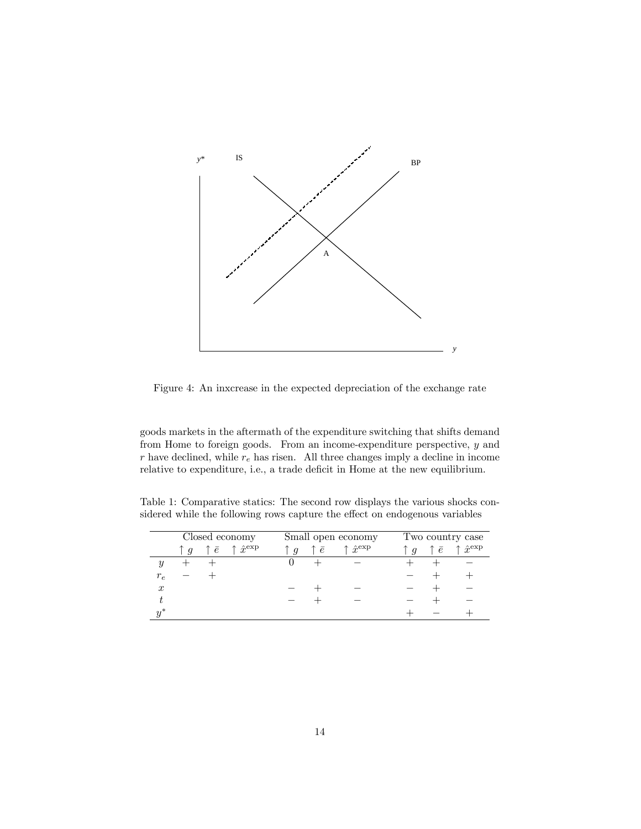

Figure 4: An inxcrease in the expected depreciation of the exchange rate

goods markets in the aftermath of the expenditure switching that shifts demand from Home to foreign goods. From an income-expenditure perspective, y and  $r$  have declined, while  $r_e$  has risen. All three changes imply a decline in income relative to expenditure, i.e., a trade deficit in Home at the new equilibrium.

Table 1: Comparative statics: The second row displays the various shocks considered while the following rows capture the effect on endogenous variables

|                  | Closed economy |   |                        |                  | Small open economy |                                 |                  | Two country case |                        |  |
|------------------|----------------|---|------------------------|------------------|--------------------|---------------------------------|------------------|------------------|------------------------|--|
|                  | $\overline{q}$ | e | $\hat{x}^{\text{exp}}$ | $\boldsymbol{q}$ | $\bar{e}$          | $\uparrow \hat{x}^{\text{exp}}$ | $\boldsymbol{q}$ | e                | $\hat{x}^{\text{exp}}$ |  |
| $\boldsymbol{y}$ |                |   |                        |                  |                    |                                 |                  |                  |                        |  |
| $r_e$            |                |   |                        |                  |                    |                                 |                  |                  |                        |  |
| $\boldsymbol{x}$ |                |   |                        |                  |                    |                                 |                  |                  |                        |  |
|                  |                |   |                        |                  |                    |                                 |                  |                  |                        |  |
|                  |                |   |                        |                  |                    |                                 |                  |                  |                        |  |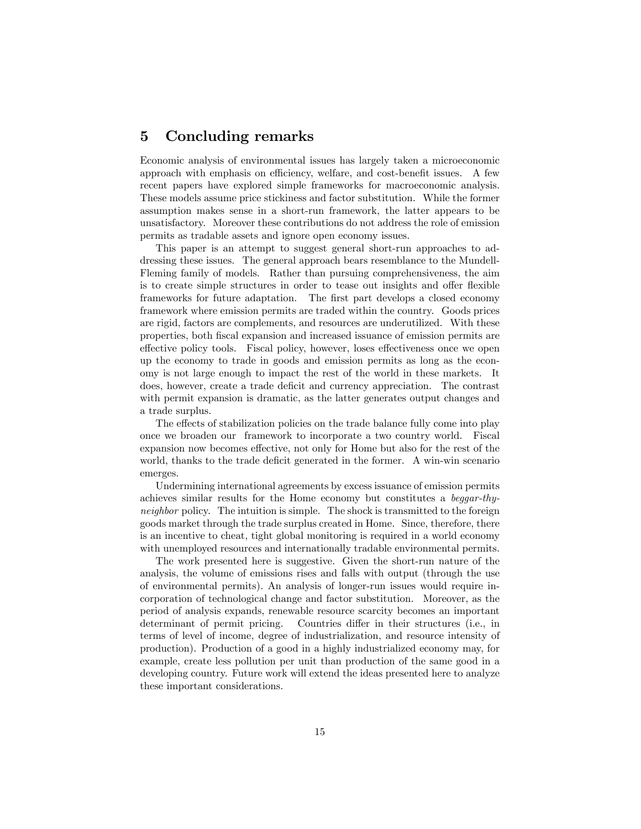#### 5 Concluding remarks

Economic analysis of environmental issues has largely taken a microeconomic approach with emphasis on efficiency, welfare, and cost-benefit issues. A few recent papers have explored simple frameworks for macroeconomic analysis. These models assume price stickiness and factor substitution. While the former assumption makes sense in a short-run framework, the latter appears to be unsatisfactory. Moreover these contributions do not address the role of emission permits as tradable assets and ignore open economy issues.

This paper is an attempt to suggest general short-run approaches to addressing these issues. The general approach bears resemblance to the Mundell-Fleming family of models. Rather than pursuing comprehensiveness, the aim is to create simple structures in order to tease out insights and offer flexible frameworks for future adaptation. The first part develops a closed economy framework where emission permits are traded within the country. Goods prices are rigid, factors are complements, and resources are underutilized. With these properties, both Öscal expansion and increased issuance of emission permits are effective policy tools. Fiscal policy, however, loses effectiveness once we open up the economy to trade in goods and emission permits as long as the economy is not large enough to impact the rest of the world in these markets. It does, however, create a trade deficit and currency appreciation. The contrast with permit expansion is dramatic, as the latter generates output changes and a trade surplus.

The effects of stabilization policies on the trade balance fully come into play once we broaden our framework to incorporate a two country world. Fiscal expansion now becomes effective, not only for Home but also for the rest of the world, thanks to the trade deficit generated in the former. A win-win scenario emerges.

Undermining international agreements by excess issuance of emission permits achieves similar results for the Home economy but constitutes a beggar-thyneighbor policy. The intuition is simple. The shock is transmitted to the foreign goods market through the trade surplus created in Home. Since, therefore, there is an incentive to cheat, tight global monitoring is required in a world economy with unemployed resources and internationally tradable environmental permits.

The work presented here is suggestive. Given the short-run nature of the analysis, the volume of emissions rises and falls with output (through the use of environmental permits). An analysis of longer-run issues would require incorporation of technological change and factor substitution. Moreover, as the period of analysis expands, renewable resource scarcity becomes an important determinant of permit pricing. Countries differ in their structures (i.e., in terms of level of income, degree of industrialization, and resource intensity of production). Production of a good in a highly industrialized economy may, for example, create less pollution per unit than production of the same good in a developing country. Future work will extend the ideas presented here to analyze these important considerations.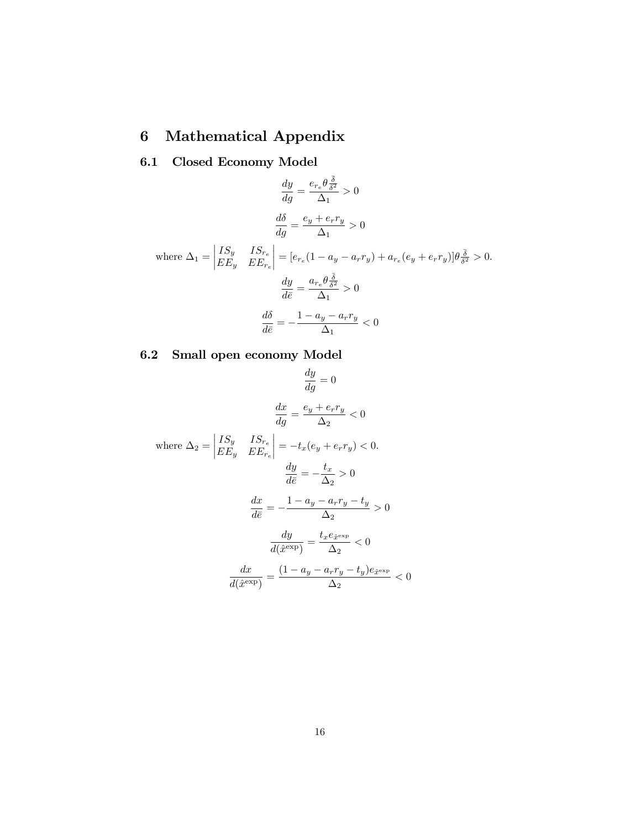## 6 Mathematical Appendix

#### 6.1 Closed Economy Model

$$
\frac{dy}{dg} = \frac{e_{r_e} \theta \frac{\delta}{\delta^2}}{\Delta_1} > 0
$$
\n
$$
\frac{d\delta}{dg} = \frac{e_y + e_r r_y}{\Delta_1} > 0
$$
\nwhere  $\Delta_1 = \begin{vmatrix} IS_y & IS_{r_e} \\ EE_y & EE_{r_e} \end{vmatrix} = [e_{r_e}(1 - a_y - a_r r_y) + a_{r_e}(e_y + e_r r_y)]\theta \frac{\delta}{\delta^2} > 0$ .  
\n
$$
\frac{dy}{d\bar{e}} = \frac{a_{r_e} \theta \frac{\delta}{\delta^2}}{\Delta_1} > 0
$$
\n
$$
\frac{d\delta}{d\bar{e}} = -\frac{1 - a_y - a_r r_y}{\Delta_1} < 0
$$

### 6.2 Small open economy Model

$$
\frac{dy}{dg} = 0
$$
\n
$$
\frac{dx}{dg} = \frac{e_y + e_r r_y}{\Delta_2} < 0
$$
\nwhere  $\Delta_2 = \begin{vmatrix} IS_y & IS_{r_e} \\ EE_y & EE_{r_e} \end{vmatrix} = -t_x (e_y + e_r r_y) < 0.$ \n
$$
\frac{dy}{d\bar{e}} = -\frac{t_x}{\Delta_2} > 0
$$
\n
$$
\frac{dx}{d\bar{e}} = -\frac{1 - a_y - a_r r_y - t_y}{\Delta_2} > 0
$$
\n
$$
\frac{dy}{d(\hat{x}^{\exp})} = \frac{t_x e_{\hat{x}^{\exp}}}{\Delta_2} < 0
$$
\n
$$
\frac{dx}{d(\hat{x}^{\exp})} = \frac{(1 - a_y - a_r r_y - t_y)e_{\hat{x}^{\exp}}}{\Delta_2} < 0
$$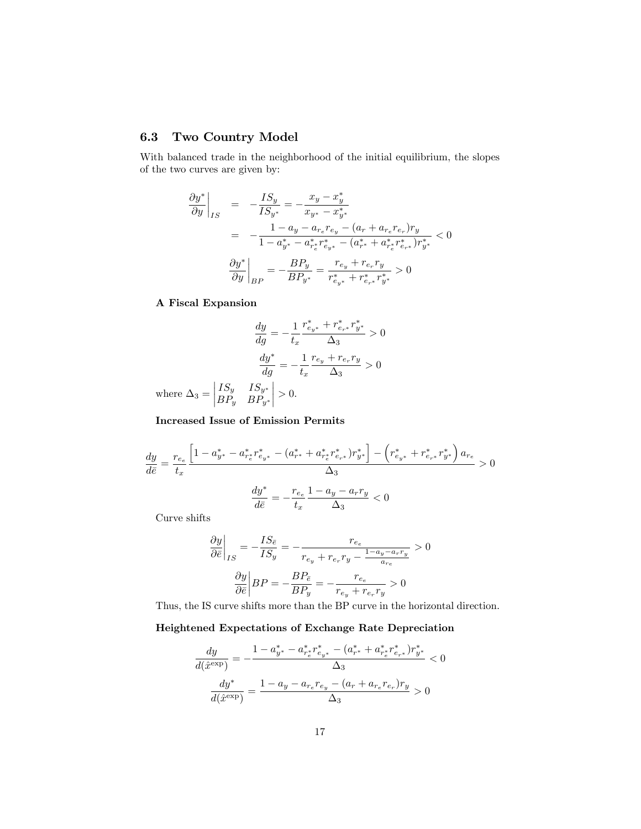#### 6.3 Two Country Model

With balanced trade in the neighborhood of the initial equilibrium, the slopes of the two curves are given by:

$$
\frac{\partial y^*}{\partial y}\Big|_{IS} = -\frac{IS_y}{IS_{y^*}} = -\frac{x_y - x_y^*}{x_{y^*} - x_{y^*}^*}
$$
  

$$
= -\frac{1 - a_y - a_{r_e} r_{e_y} - (a_r + a_{r_e} r_{e_r}) r_y}{1 - a_{y^*}^* - a_{r_e}^* r_{e_{y^*}}^* - (a_{r^*}^* + a_{r_e}^* r_{e_{r^*}}^*) r_{y^*}^*} < 0
$$
  

$$
\frac{\partial y^*}{\partial y}\Big|_{BP} = -\frac{BP_y}{BP_{y^*}} = \frac{r_{e_y} + r_{e_r} r_y}{r_{e_{y^*}}^* + r_{e_{r^*}}^* r_{y^*}^*} > 0
$$

#### A Fiscal Expansion

$$
\frac{dy}{dg} = -\frac{1}{t_x} \frac{r_{e_{y^*}}^* + r_{e_{r^*}}^* r_{y^*}^*}{\Delta_3} > 0
$$
  

$$
\frac{dy^*}{dg} = -\frac{1}{t_x} \frac{r_{e_y} + r_{e_r} r_y}{\Delta_3} > 0
$$

where  $\Delta_3 =$   $IS_y$   $IS_{y^*}$  $BP_y$   $BP_{y^*}$  $\begin{array}{c} \begin{array}{c} \begin{array}{c} \end{array} \\ \begin{array}{c} \end{array} \end{array} \end{array}$  $> 0.$ 

Increased Issue of Emission Permits

$$
\frac{dy}{d\bar{e}} = \frac{r_{e_e}}{t_x} \frac{\left[1 - a_{y^*}^* - a_{r_e^*}^* r_{e_{y^*}}^* - (a_{r^*}^* + a_{r_e^*}^* r_{e_{r^*}}^*) r_{y^*}^*\right] - \left(r_{e_{y^*}}^* + r_{e_{r^*}}^* r_{y^*}^*\right) a_{r_e}}{\Delta_3} > 0
$$
\n
$$
\frac{dy^*}{d\bar{e}} = -\frac{r_{e_e}}{t_x} \frac{1 - a_y - a_r r_y}{\Delta_3} < 0
$$
\nCurve shifts

Curve shifts

$$
\begin{split} \frac{\partial y}{\partial \bar{e}}\bigg|_{IS} = -\frac{IS_{\bar{e}}}{IS_{y}} = -\frac{r_{e_{e}}}{r_{e_{y}}+r_{e_{r}}r_{y}-\frac{1-a_{y}-a_{r}r_{y}}{a_{r_{e}}}}>0\\ \frac{\partial y}{\partial \bar{e}}\bigg|BP = -\frac{BP_{\bar{e}}}{BP_{y}} = -\frac{r_{e_{e}}}{r_{e_{y}}+r_{e_{r}}r_{y}}>0 \end{split}
$$

Thus, the IS curve shifts more than the BP curve in the horizontal direction.

#### Heightened Expectations of Exchange Rate Depreciation

$$
\frac{dy}{d(\hat{x}^{\exp})} = -\frac{1 - a_{y^*}^* - a_{r_e^*}^* r_{e_{y^*}}^* - (a_{r^*}^* + a_{r_e^*}^* r_{e_{r^*}}^*) r_{y^*}^*}{\Delta_3} < 0
$$

$$
\frac{dy^*}{d(\hat{x}^{\exp})} = \frac{1 - a_y - a_{r_e} r_{e_y} - (a_r + a_{r_e} r_{e_r}) r_y}{\Delta_3} > 0
$$